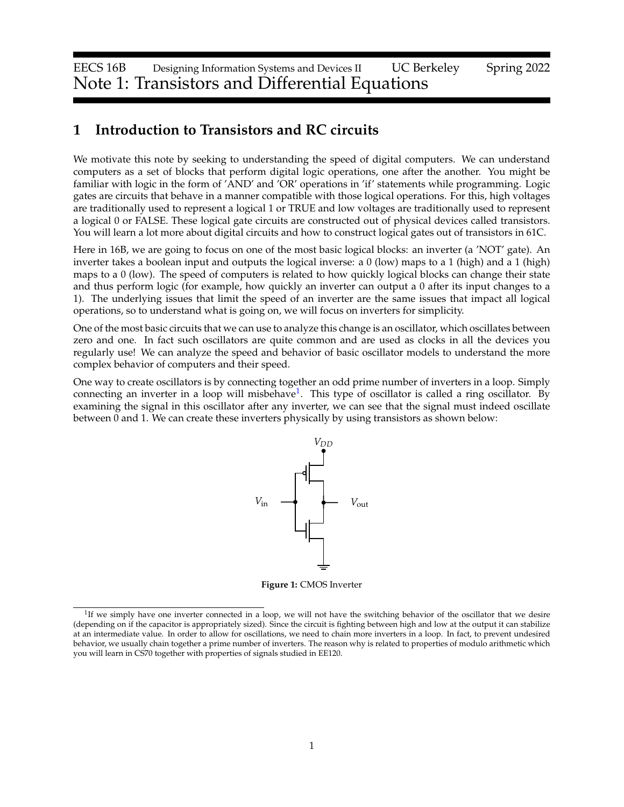EECS 16B Designing Information Systems and Devices II UC Berkeley Spring 2022 Note 1: Transistors and Differential Equations

# **1 Introduction to Transistors and RC circuits**

We motivate this note by seeking to understanding the speed of digital computers. We can understand computers as a set of blocks that perform digital logic operations, one after the another. You might be familiar with logic in the form of 'AND' and 'OR' operations in 'if' statements while programming. Logic gates are circuits that behave in a manner compatible with those logical operations. For this, high voltages are traditionally used to represent a logical 1 or TRUE and low voltages are traditionally used to represent a logical 0 or FALSE. These logical gate circuits are constructed out of physical devices called transistors. You will learn a lot more about digital circuits and how to construct logical gates out of transistors in 61C.

Here in 16B, we are going to focus on one of the most basic logical blocks: an inverter (a 'NOT' gate). An inverter takes a boolean input and outputs the logical inverse: a 0 (low) maps to a 1 (high) and a 1 (high) maps to a 0 (low). The speed of computers is related to how quickly logical blocks can change their state and thus perform logic (for example, how quickly an inverter can output a 0 after its input changes to a 1). The underlying issues that limit the speed of an inverter are the same issues that impact all logical operations, so to understand what is going on, we will focus on inverters for simplicity.

One of the most basic circuits that we can use to analyze this change is an oscillator, which oscillates between zero and one. In fact such oscillators are quite common and are used as clocks in all the devices you regularly use! We can analyze the speed and behavior of basic oscillator models to understand the more complex behavior of computers and their speed.

One way to create oscillators is by connecting together an odd prime number of inverters in a loop. Simply connecting an inverter in a loop will misbehave<sup>[1](#page-0-0)</sup>. This type of oscillator is called a ring oscillator. By examining the signal in this oscillator after any inverter, we can see that the signal must indeed oscillate between 0 and 1. We can create these inverters physically by using transistors as shown below:



**Figure 1:** CMOS Inverter

<span id="page-0-0"></span><sup>&</sup>lt;sup>1</sup>If we simply have one inverter connected in a loop, we will not have the switching behavior of the oscillator that we desire (depending on if the capacitor is appropriately sized). Since the circuit is fighting between high and low at the output it can stabilize at an intermediate value. In order to allow for oscillations, we need to chain more inverters in a loop. In fact, to prevent undesired behavior, we usually chain together a prime number of inverters. The reason why is related to properties of modulo arithmetic which you will learn in CS70 together with properties of signals studied in EE120.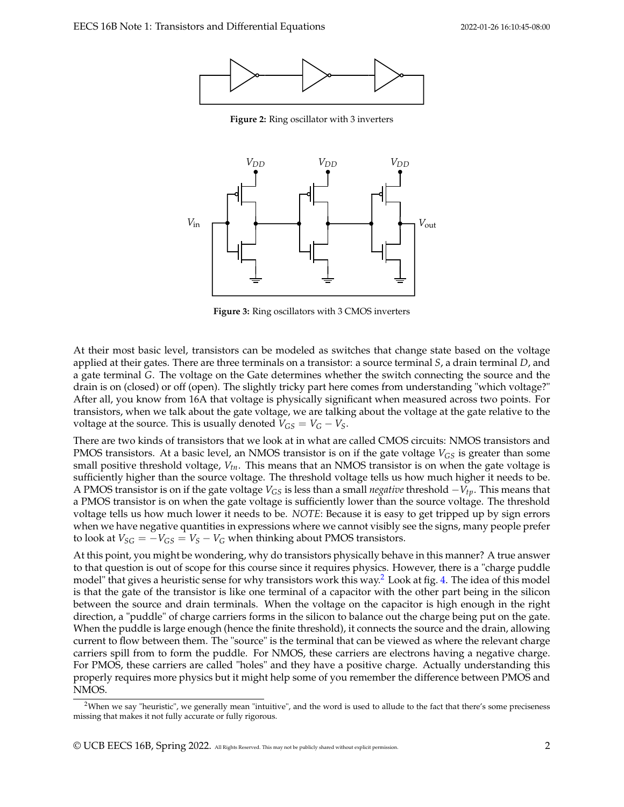

**Figure 2:** Ring oscillator with 3 inverters

<span id="page-1-1"></span>

**Figure 3:** Ring oscillators with 3 CMOS inverters

At their most basic level, transistors can be modeled as switches that change state based on the voltage applied at their gates. There are three terminals on a transistor: a source terminal *S*, a drain terminal *D*, and a gate terminal *G*. The voltage on the Gate determines whether the switch connecting the source and the drain is on (closed) or off (open). The slightly tricky part here comes from understanding "which voltage?" After all, you know from 16A that voltage is physically significant when measured across two points. For transistors, when we talk about the gate voltage, we are talking about the voltage at the gate relative to the voltage at the source. This is usually denoted  $V_{GS} = V_G - V_S$ .

There are two kinds of transistors that we look at in what are called CMOS circuits: NMOS transistors and PMOS transistors. At a basic level, an NMOS transistor is on if the gate voltage *VGS* is greater than some small positive threshold voltage, *Vtn*. This means that an NMOS transistor is on when the gate voltage is sufficiently higher than the source voltage. The threshold voltage tells us how much higher it needs to be. A PMOS transistor is on if the gate voltage *VGS* is less than a small *negative* threshold −*Vtp*. This means that a PMOS transistor is on when the gate voltage is sufficiently lower than the source voltage. The threshold voltage tells us how much lower it needs to be. *NOTE*: Because it is easy to get tripped up by sign errors when we have negative quantities in expressions where we cannot visibly see the signs, many people prefer to look at  $V_{SG} = -V_{GS} = V_S - V_G$  when thinking about PMOS transistors.

At this point, you might be wondering, why do transistors physically behave in this manner? A true answer to that question is out of scope for this course since it requires physics. However, there is a "charge puddle model" that gives a heuristic sense for why transistors work this way.<sup>[2](#page-1-0)</sup> Look at fig. [4.](#page-2-0) The idea of this model is that the gate of the transistor is like one terminal of a capacitor with the other part being in the silicon between the source and drain terminals. When the voltage on the capacitor is high enough in the right direction, a "puddle" of charge carriers forms in the silicon to balance out the charge being put on the gate. When the puddle is large enough (hence the finite threshold), it connects the source and the drain, allowing current to flow between them. The "source" is the terminal that can be viewed as where the relevant charge carriers spill from to form the puddle. For NMOS, these carriers are electrons having a negative charge. For PMOS, these carriers are called "holes" and they have a positive charge. Actually understanding this properly requires more physics but it might help some of you remember the difference between PMOS and NMOS.

<span id="page-1-0"></span><sup>&</sup>lt;sup>2</sup>When we say "heuristic", we generally mean "intuitive", and the word is used to allude to the fact that there's some preciseness missing that makes it not fully accurate or fully rigorous.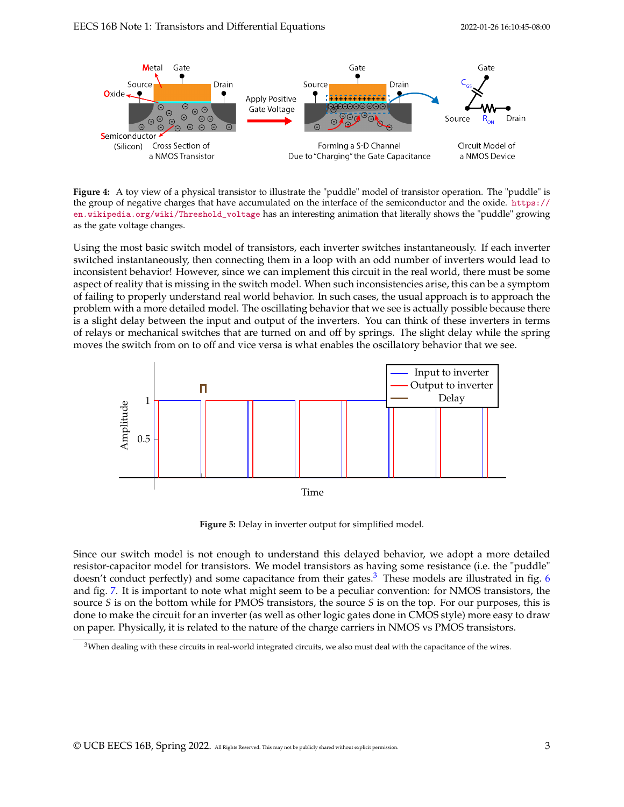<span id="page-2-0"></span>

**Figure 4:** A toy view of a physical transistor to illustrate the "puddle" model of transistor operation. The "puddle" is the group of negative charges that have accumulated on the interface of the semiconductor and the oxide. [https://](https://en.wikipedia.org/wiki/Threshold_voltage) [en.wikipedia.org/wiki/Threshold\\_voltage](https://en.wikipedia.org/wiki/Threshold_voltage) has an interesting animation that literally shows the "puddle" growing as the gate voltage changes.

Using the most basic switch model of transistors, each inverter switches instantaneously. If each inverter switched instantaneously, then connecting them in a loop with an odd number of inverters would lead to inconsistent behavior! However, since we can implement this circuit in the real world, there must be some aspect of reality that is missing in the switch model. When such inconsistencies arise, this can be a symptom of failing to properly understand real world behavior. In such cases, the usual approach is to approach the problem with a more detailed model. The oscillating behavior that we see is actually possible because there is a slight delay between the input and output of the inverters. You can think of these inverters in terms of relays or mechanical switches that are turned on and off by springs. The slight delay while the spring moves the switch from on to off and vice versa is what enables the oscillatory behavior that we see.



**Figure 5:** Delay in inverter output for simplified model.

Since our switch model is not enough to understand this delayed behavior, we adopt a more detailed resistor-capacitor model for transistors. We model transistors as having some resistance (i.e. the "puddle" doesn't conduct perfectly) and some capacitance from their gates. $3$  These models are illustrated in fig. [6](#page-3-0) and fig. [7.](#page-3-1) It is important to note what might seem to be a peculiar convention: for NMOS transistors, the source *S* is on the bottom while for PMOS transistors, the source *S* is on the top. For our purposes, this is done to make the circuit for an inverter (as well as other logic gates done in CMOS style) more easy to draw on paper. Physically, it is related to the nature of the charge carriers in NMOS vs PMOS transistors.

<span id="page-2-1"></span><sup>&</sup>lt;sup>3</sup>When dealing with these circuits in real-world integrated circuits, we also must deal with the capacitance of the wires.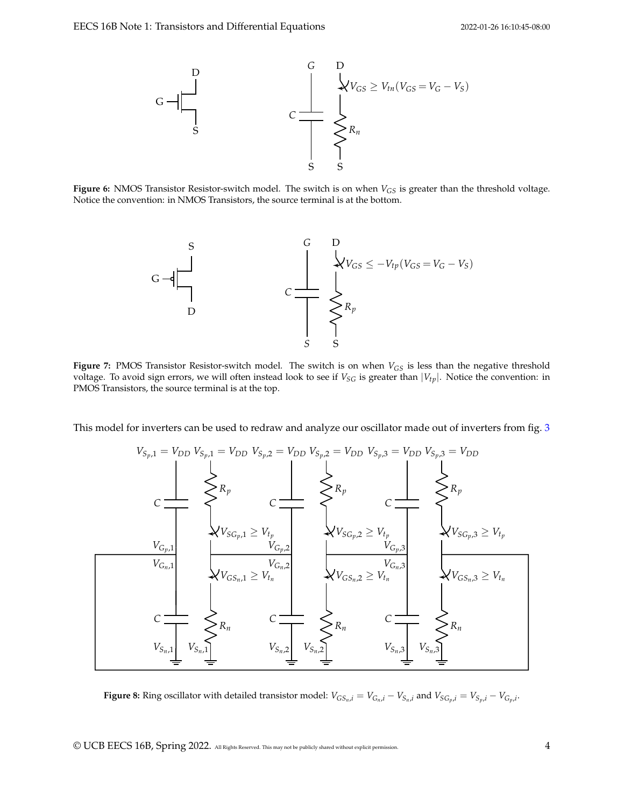<span id="page-3-0"></span>

<span id="page-3-1"></span>**Figure 6:** NMOS Transistor Resistor-switch model. The switch is on when  $V_{GS}$  is greater than the threshold voltage. Notice the convention: in NMOS Transistors, the source terminal is at the bottom.



**Figure 7:** PMOS Transistor Resistor-switch model. The switch is on when *VGS* is less than the negative threshold voltage. To avoid sign errors, we will often instead look to see if  $V_{SG}$  is greater than  $|V_{tp}|$ . Notice the convention: in PMOS Transistors, the source terminal is at the top.

<span id="page-3-2"></span>This model for inverters can be used to redraw and analyze our oscillator made out of inverters from fig. [3](#page-1-1)



**Figure 8:** Ring oscillator with detailed transistor model:  $V_{GS_n,i} = V_{G_n,i} - V_{S_n,i}$  and  $V_{SG_p,i} = V_{S_p,i} - V_{G_p,i}$ .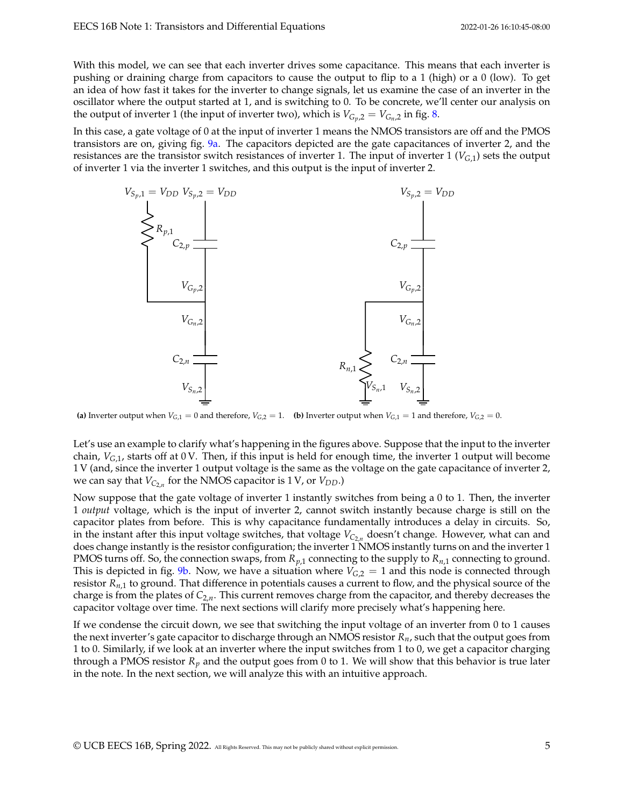With this model, we can see that each inverter drives some capacitance. This means that each inverter is pushing or draining charge from capacitors to cause the output to flip to a 1 (high) or a 0 (low). To get an idea of how fast it takes for the inverter to change signals, let us examine the case of an inverter in the oscillator where the output started at 1, and is switching to 0. To be concrete, we'll center our analysis on the output of inverter 1 (the input of inverter two), which is  $V_{G_n,2} = V_{G_n,2}$  in fig. [8.](#page-3-2)

In this case, a gate voltage of 0 at the input of inverter 1 means the NMOS transistors are off and the PMOS transistors are on, giving fig. [9a.](#page-4-0) The capacitors depicted are the gate capacitances of inverter 2, and the resistances are the transistor switch resistances of inverter 1. The input of inverter  $1 (V_{G,1})$  sets the output of inverter 1 via the inverter 1 switches, and this output is the input of inverter 2.

<span id="page-4-0"></span>

(a) Inverter output when  $V_{G,1} = 0$  and therefore,  $V_{G,2} = 1$ . (b) Inverter output when  $V_{G,1} = 1$  and therefore,  $V_{G,2} = 0$ .

Let's use an example to clarify what's happening in the figures above. Suppose that the input to the inverter chain,  $V_{G,1}$ , starts off at 0 V. Then, if this input is held for enough time, the inverter 1 output will become 1 V (and, since the inverter 1 output voltage is the same as the voltage on the gate capacitance of inverter 2, we can say that *VC*2,*<sup>n</sup>* for the NMOS capacitor is 1 V, or *VDD*.)

Now suppose that the gate voltage of inverter 1 instantly switches from being a 0 to 1. Then, the inverter 1 *output* voltage, which is the input of inverter 2, cannot switch instantly because charge is still on the capacitor plates from before. This is why capacitance fundamentally introduces a delay in circuits. So, in the instant after this input voltage switches, that voltage *VC*2,*<sup>n</sup>* doesn't change. However, what can and does change instantly is the resistor configuration; the inverter 1 NMOS instantly turns on and the inverter 1 PMOS turns off. So, the connection swaps, from  $R_{p,1}$  connecting to the supply to  $R_{n,1}$  connecting to ground. This is depicted in fig. [9b.](#page-4-0) Now, we have a situation where  $V_{G,2} = 1$  and this node is connected through resistor *Rn*,1 to ground. That difference in potentials causes a current to flow, and the physical source of the charge is from the plates of *C*2,*n*. This current removes charge from the capacitor, and thereby decreases the capacitor voltage over time. The next sections will clarify more precisely what's happening here.

If we condense the circuit down, we see that switching the input voltage of an inverter from 0 to 1 causes the next inverter's gate capacitor to discharge through an NMOS resistor *Rn*, such that the output goes from 1 to 0. Similarly, if we look at an inverter where the input switches from 1 to 0, we get a capacitor charging through a PMOS resistor  $R_p$  and the output goes from 0 to 1. We will show that this behavior is true later in the note. In the next section, we will analyze this with an intuitive approach.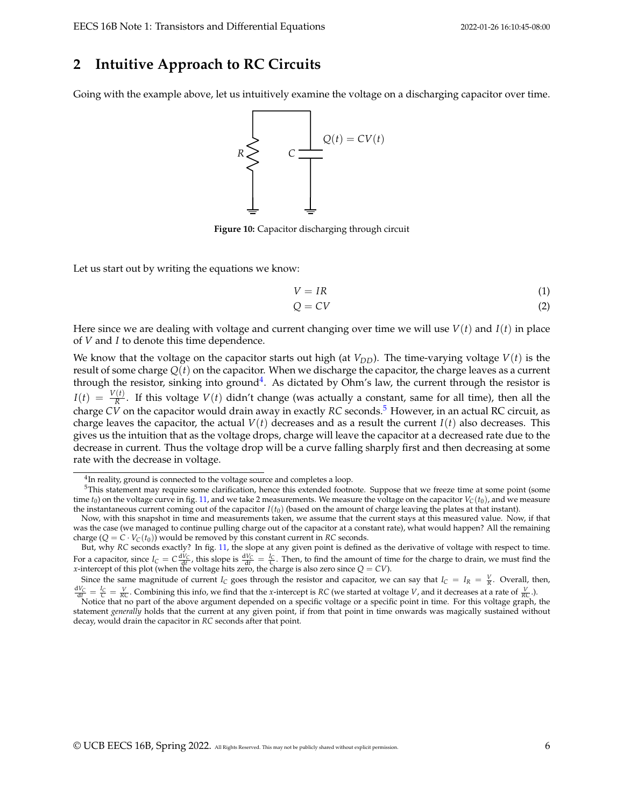## **2 Intuitive Approach to RC Circuits**

Going with the example above, let us intuitively examine the voltage on a discharging capacitor over time.



**Figure 10:** Capacitor discharging through circuit

Let us start out by writing the equations we know:

$$
V = IR \tag{1}
$$

$$
Q = CV \tag{2}
$$

Here since we are dealing with voltage and current changing over time we will use  $V(t)$  and  $I(t)$  in place of *V* and *I* to denote this time dependence.

We know that the voltage on the capacitor starts out high (at  $V_{DD}$ ). The time-varying voltage  $V(t)$  is the result of some charge *Q*(*t*) on the capacitor. When we discharge the capacitor, the charge leaves as a current through the resistor, sinking into ground<sup>[4](#page-5-0)</sup>. As dictated by Ohm's law, the current through the resistor is  $I(t) = \frac{V(t)}{R}$ . If this voltage  $V(t)$  didn't change (was actually a constant, same for all time), then all the charge *CV* on the capacitor would drain away in exactly *RC* seconds.[5](#page-5-1) However, in an actual RC circuit, as charge leaves the capacitor, the actual  $V(t)$  decreases and as a result the current  $I(t)$  also decreases. This gives us the intuition that as the voltage drops, charge will leave the capacitor at a decreased rate due to the decrease in current. Thus the voltage drop will be a curve falling sharply first and then decreasing at some rate with the decrease in voltage.

<span id="page-5-1"></span><span id="page-5-0"></span><sup>&</sup>lt;sup>4</sup>In reality, ground is connected to the voltage source and completes a loop.

<sup>&</sup>lt;sup>5</sup>This statement may require some clarification, hence this extended footnote. Suppose that we freeze time at some point (some time  $t_0$ ) on the voltage curve in fig. [11,](#page-6-0) and we take 2 measurements. We measure the voltage on the capacitor  $V_C(t_0)$ , and we measure the instantaneous current coming out of the capacitor  $I(t_0)$  (based on the amount of charge leaving the plates at that instant).

Now, with this snapshot in time and measurements taken, we assume that the current stays at this measured value. Now, if that was the case (we managed to continue pulling charge out of the capacitor at a constant rate), what would happen? All the remaining charge  $(Q = C \cdot V_C(t_0))$  would be removed by this constant current in *RC* seconds.

But, why *RC* seconds exactly? In fig. [11,](#page-6-0) the slope at any given point is defined as the derivative of voltage with respect to time. For a capacitor, since  $I_C = C \frac{dV_C}{dt}$ , this slope is  $\frac{dV_C}{dt} = \frac{I_C}{C}$ . Then, to find the amount of time for the charge to drain, we must find the *x*-intercept of this plot (when the voltage hits zero, the charge is also zero since *Q* = *CV*).

Since the same magnitude of current *I<sub>C</sub>* goes through the resistor and capacitor, we can say that  $I_C = I_R = \frac{V}{R}$ . Overall, then,

 $\frac{dV_C}{dt} = \frac{V_C}{RC} = \frac{V}{RC}$ . Combining this info, we find that the *x*-intercept is RC (we started at voltage *V*, and it decreases at a rate of  $\frac{V}{RC}$ .).<br>Notice that no part of the above argument depended on a specif statement *generally* holds that the current at any given point, if from that point in time onwards was magically sustained without decay, would drain the capacitor in *RC* seconds after that point.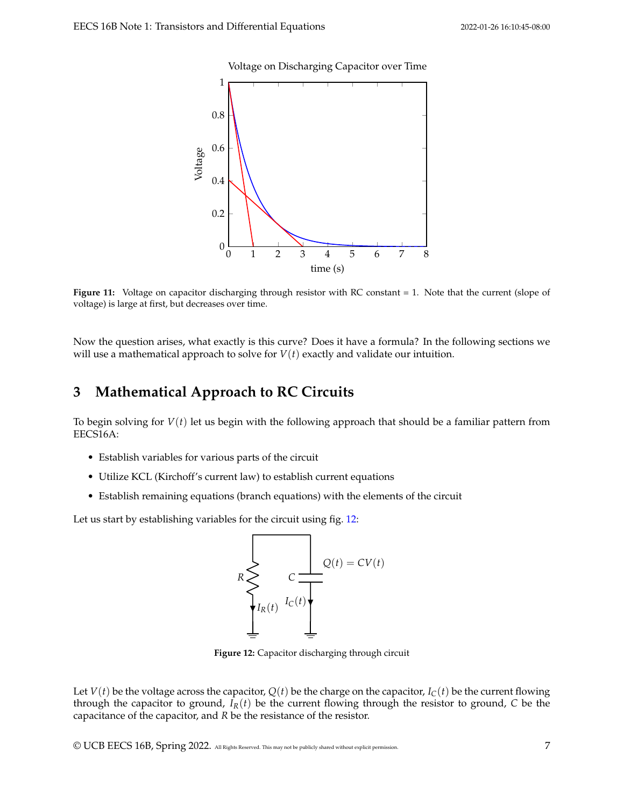Voltage on Discharging Capacitor over Time

<span id="page-6-0"></span>

**Figure 11:** Voltage on capacitor discharging through resistor with RC constant = 1. Note that the current (slope of voltage) is large at first, but decreases over time.

Now the question arises, what exactly is this curve? Does it have a formula? In the following sections we will use a mathematical approach to solve for  $V(t)$  exactly and validate our intuition.

# **3 Mathematical Approach to RC Circuits**

To begin solving for *V*(*t*) let us begin with the following approach that should be a familiar pattern from EECS16A:

- Establish variables for various parts of the circuit
- Utilize KCL (Kirchoff's current law) to establish current equations
- Establish remaining equations (branch equations) with the elements of the circuit

<span id="page-6-1"></span>Let us start by establishing variables for the circuit using fig. [12:](#page-6-1)



**Figure 12:** Capacitor discharging through circuit

Let  $V(t)$  be the voltage across the capacitor,  $Q(t)$  be the charge on the capacitor,  $I_C(t)$  be the current flowing through the capacitor to ground,  $I_R(t)$  be the current flowing through the resistor to ground, *C* be the capacitance of the capacitor, and *R* be the resistance of the resistor.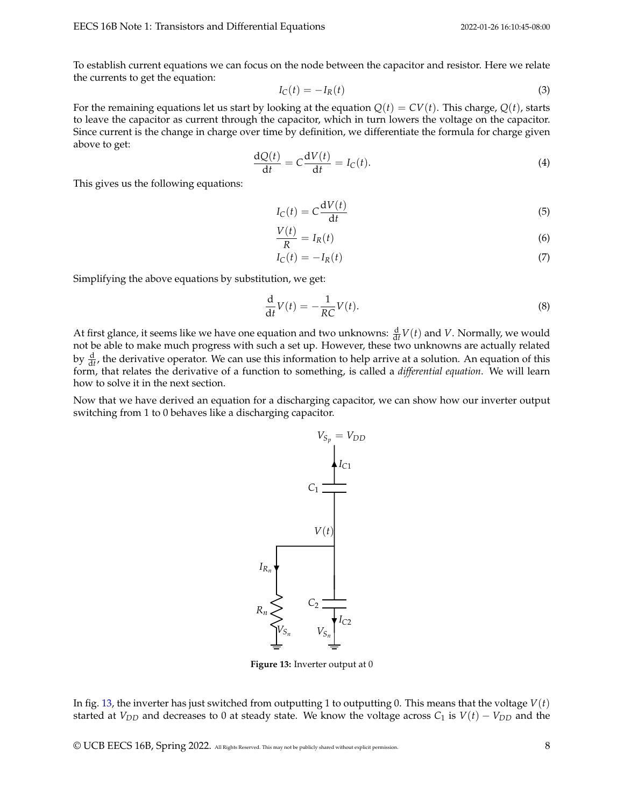To establish current equations we can focus on the node between the capacitor and resistor. Here we relate the currents to get the equation:

$$
I_C(t) = -I_R(t) \tag{3}
$$

For the remaining equations let us start by looking at the equation  $Q(t) = CV(t)$ . This charge,  $Q(t)$ , starts to leave the capacitor as current through the capacitor, which in turn lowers the voltage on the capacitor. Since current is the change in charge over time by definition, we differentiate the formula for charge given above to get:

$$
\frac{dQ(t)}{dt} = C\frac{dV(t)}{dt} = I_C(t).
$$
\n(4)

This gives us the following equations:

$$
I_C(t) = C \frac{\mathrm{d}V(t)}{\mathrm{d}t} \tag{5}
$$

$$
\frac{V(t)}{R} = I_R(t) \tag{6}
$$

$$
I_C(t) = -I_R(t) \tag{7}
$$

Simplifying the above equations by substitution, we get:

$$
\frac{\mathrm{d}}{\mathrm{d}t}V(t) = -\frac{1}{RC}V(t). \tag{8}
$$

At first glance, it seems like we have one equation and two unknowns:  $\frac{d}{dt}V(t)$  and *V*. Normally, we would not be able to make much progress with such a set up. However, these two unknowns are actually related by  $\frac{d}{dt}$ , the derivative operator. We can use this information to help arrive at a solution. An equation of this form, that relates the derivative of a function to something, is called a *differential equation*. We will learn how to solve it in the next section.

<span id="page-7-0"></span>Now that we have derived an equation for a discharging capacitor, we can show how our inverter output switching from 1 to 0 behaves like a discharging capacitor.



**Figure 13:** Inverter output at 0

In fig. [13,](#page-7-0) the inverter has just switched from outputting 1 to outputting 0. This means that the voltage *V*(*t*) started at  $V_{DD}$  and decreases to 0 at steady state. We know the voltage across  $C_1$  is  $V(t) - V_{DD}$  and the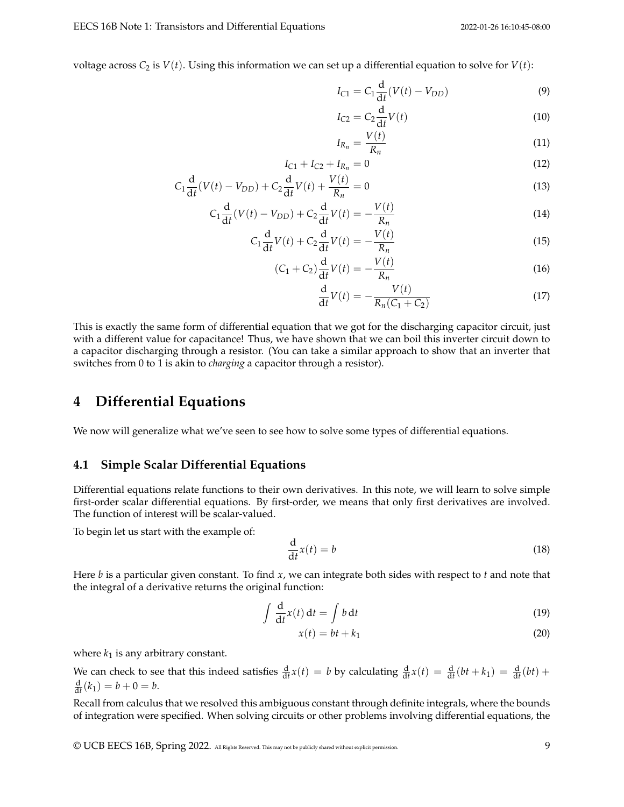voltage across  $C_2$  is  $V(t)$ . Using this information we can set up a differential equation to solve for  $V(t)$ :

$$
I_{C1} = C_1 \frac{d}{dt} (V(t) - V_{DD})
$$
 (9)

$$
I_{C2} = C_2 \frac{\mathrm{d}}{\mathrm{d}t} V(t) \tag{10}
$$

$$
I_{R_n} = \frac{V(t)}{R_n} \tag{11}
$$

$$
I_{C1} + I_{C2} + I_{R_n} = 0 \tag{12}
$$

$$
C_1 \frac{d}{dt}(V(t) - V_{DD}) + C_2 \frac{d}{dt}V(t) + \frac{V(t)}{R_n} = 0
$$
\n(13)

$$
C_1 \frac{d}{dt}(V(t) - V_{DD}) + C_2 \frac{d}{dt}V(t) = -\frac{V(t)}{R_n}
$$
\n(14)

$$
C_1 \frac{\mathrm{d}}{\mathrm{d}t} V(t) + C_2 \frac{\mathrm{d}}{\mathrm{d}t} V(t) = -\frac{V(t)}{R_n}
$$
\n(15)

$$
(C_1 + C_2) \frac{d}{dt} V(t) = -\frac{V(t)}{R_n}
$$
\n(16)

$$
\frac{d}{dt}V(t) = -\frac{V(t)}{R_n(C_1 + C_2)}
$$
\n(17)

This is exactly the same form of differential equation that we got for the discharging capacitor circuit, just with a different value for capacitance! Thus, we have shown that we can boil this inverter circuit down to a capacitor discharging through a resistor. (You can take a similar approach to show that an inverter that switches from 0 to 1 is akin to *charging* a capacitor through a resistor).

## **4 Differential Equations**

We now will generalize what we've seen to see how to solve some types of differential equations.

## **4.1 Simple Scalar Differential Equations**

Differential equations relate functions to their own derivatives. In this note, we will learn to solve simple first-order scalar differential equations. By first-order, we means that only first derivatives are involved. The function of interest will be scalar-valued.

To begin let us start with the example of:

$$
\frac{\mathrm{d}}{\mathrm{d}t}x(t) = b\tag{18}
$$

Here *b* is a particular given constant. To find *x*, we can integrate both sides with respect to *t* and note that the integral of a derivative returns the original function:

$$
\int \frac{d}{dt} x(t) dt = \int b dt
$$
\n(19)

$$
x(t) = bt + k_1 \tag{20}
$$

where  $k_1$  is any arbitrary constant.

We can check to see that this indeed satisfies  $\frac{d}{dt}x(t) = b$  by calculating  $\frac{d}{dt}x(t) = \frac{d}{dt}(bt + k_1) = \frac{d}{dt}(bt) +$  $\frac{d}{dt}(k_1) = b + 0 = b.$ 

Recall from calculus that we resolved this ambiguous constant through definite integrals, where the bounds of integration were specified. When solving circuits or other problems involving differential equations, the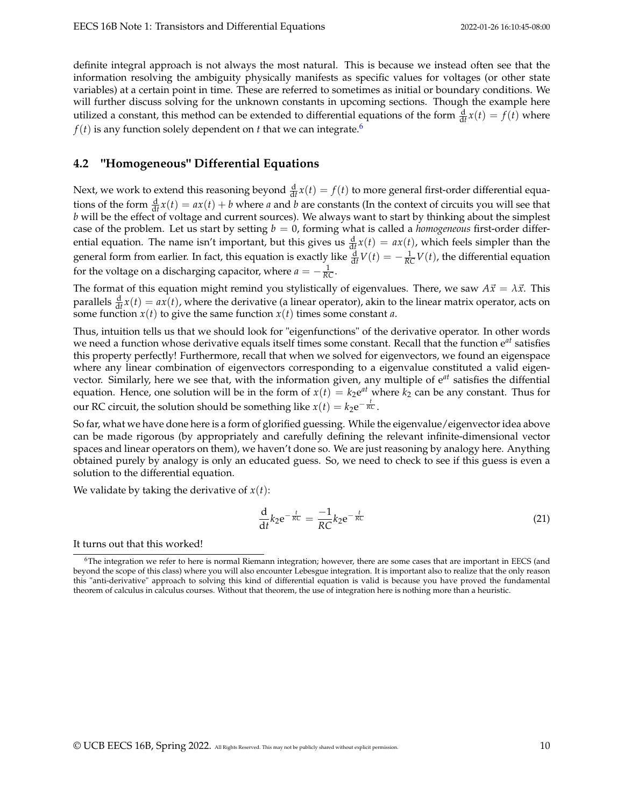definite integral approach is not always the most natural. This is because we instead often see that the information resolving the ambiguity physically manifests as specific values for voltages (or other state variables) at a certain point in time. These are referred to sometimes as initial or boundary conditions. We will further discuss solving for the unknown constants in upcoming sections. Though the example here utilized a constant, this method can be extended to differential equations of the form  $\frac{d}{dt}x(t) = f(t)$  where  $f(t)$  is any function solely dependent on *t* that we can integrate.<sup>[6](#page-9-0)</sup>

## **4.2 "Homogeneous" Differential Equations**

Next, we work to extend this reasoning beyond  $\frac{d}{dt}x(t) = f(t)$  to more general first-order differential equations of the form  $\frac{d}{dt}x(t) = ax(t) + b$  where *a* and *b* are constants (In the context of circuits you will see that *b* will be the effect of voltage and current sources). We always want to start by thinking about the simplest case of the problem. Let us start by setting  $b = 0$ , forming what is called a *homogeneous* first-order differential equation. The name isn't important, but this gives us  $\frac{d}{dt}x(t) = ax(t)$ , which feels simpler than the general form from earlier. In fact, this equation is exactly like  $\frac{d}{dt}V(t) = -\frac{1}{RC}V(t)$ , the differential equation for the voltage on a discharging capacitor, where  $a = -\frac{1}{RC}$ .

The format of this equation might remind you stylistically of eigenvalues. There, we saw  $A\vec{x} = \lambda \vec{x}$ . This parallels  $\frac{d}{dt}x(t) = ax(t)$ , where the derivative (a linear operator), akin to the linear matrix operator, acts on some function  $x(t)$  to give the same function  $x(t)$  times some constant *a*.

Thus, intuition tells us that we should look for "eigenfunctions" of the derivative operator. In other words we need a function whose derivative equals itself times some constant. Recall that the function e*at* satisfies this property perfectly! Furthermore, recall that when we solved for eigenvectors, we found an eigenspace where any linear combination of eigenvectors corresponding to a eigenvalue constituted a valid eigenvector. Similarly, here we see that, with the information given, any multiple of e*at* satisfies the diffential equation. Hence, one solution will be in the form of  $x(t) = k_2 e^{at}$  where  $k_2$  can be any constant. Thus for our RC circuit, the solution should be something like  $x(t) = k_2 e^{-\frac{t}{RC}}$ .

So far, what we have done here is a form of glorified guessing. While the eigenvalue/eigenvector idea above can be made rigorous (by appropriately and carefully defining the relevant infinite-dimensional vector spaces and linear operators on them), we haven't done so. We are just reasoning by analogy here. Anything obtained purely by analogy is only an educated guess. So, we need to check to see if this guess is even a solution to the differential equation.

We validate by taking the derivative of  $x(t)$ :

$$
\frac{\mathrm{d}}{\mathrm{d}t}k_2\mathrm{e}^{-\frac{t}{RC}}=\frac{-1}{RC}k_2\mathrm{e}^{-\frac{t}{RC}}\tag{21}
$$

It turns out that this worked!

<span id="page-9-0"></span><sup>6</sup>The integration we refer to here is normal Riemann integration; however, there are some cases that are important in EECS (and beyond the scope of this class) where you will also encounter Lebesgue integration. It is important also to realize that the only reason this "anti-derivative" approach to solving this kind of differential equation is valid is because you have proved the fundamental theorem of calculus in calculus courses. Without that theorem, the use of integration here is nothing more than a heuristic.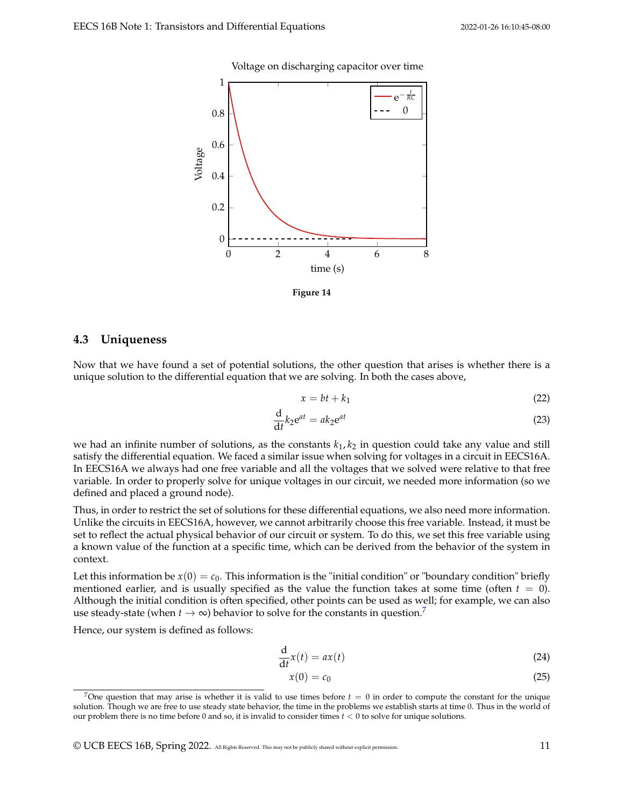#### Voltage on discharging capacitor over time



**Figure 14**

### **4.3 Uniqueness**

Now that we have found a set of potential solutions, the other question that arises is whether there is a unique solution to the differential equation that we are solving. In both the cases above,

$$
x = bt + k_1 \tag{22}
$$

$$
\frac{\mathrm{d}}{\mathrm{d}t}k_2\mathrm{e}^{at} = ak_2\mathrm{e}^{at} \tag{23}
$$

we had an infinite number of solutions, as the constants  $k_1, k_2$  in question could take any value and still satisfy the differential equation. We faced a similar issue when solving for voltages in a circuit in EECS16A. In EECS16A we always had one free variable and all the voltages that we solved were relative to that free variable. In order to properly solve for unique voltages in our circuit, we needed more information (so we defined and placed a ground node).

Thus, in order to restrict the set of solutions for these differential equations, we also need more information. Unlike the circuits in EECS16A, however, we cannot arbitrarily choose this free variable. Instead, it must be set to reflect the actual physical behavior of our circuit or system. To do this, we set this free variable using a known value of the function at a specific time, which can be derived from the behavior of the system in context.

Let this information be  $x(0) = c_0$ . This information is the "initial condition" or "boundary condition" briefly mentioned earlier, and is usually specified as the value the function takes at some time (often  $t = 0$ ). Although the initial condition is often specified, other points can be used as well; for example, we can also use steady-state (when  $t \to \infty$ ) behavior to solve for the constants in question.<sup>[7](#page-10-0)</sup>

Hence, our system is defined as follows:

$$
\frac{\mathrm{d}}{\mathrm{d}t}x(t) = ax(t) \tag{24}
$$

$$
x(0) = c_0 \tag{25}
$$

<span id="page-10-0"></span><sup>&</sup>lt;sup>7</sup>One question that may arise is whether it is valid to use times before  $t = 0$  in order to compute the constant for the unique solution. Though we are free to use steady state behavior, the time in the problems we establish starts at time 0. Thus in the world of our problem there is no time before 0 and so, it is invalid to consider times *t* < 0 to solve for unique solutions.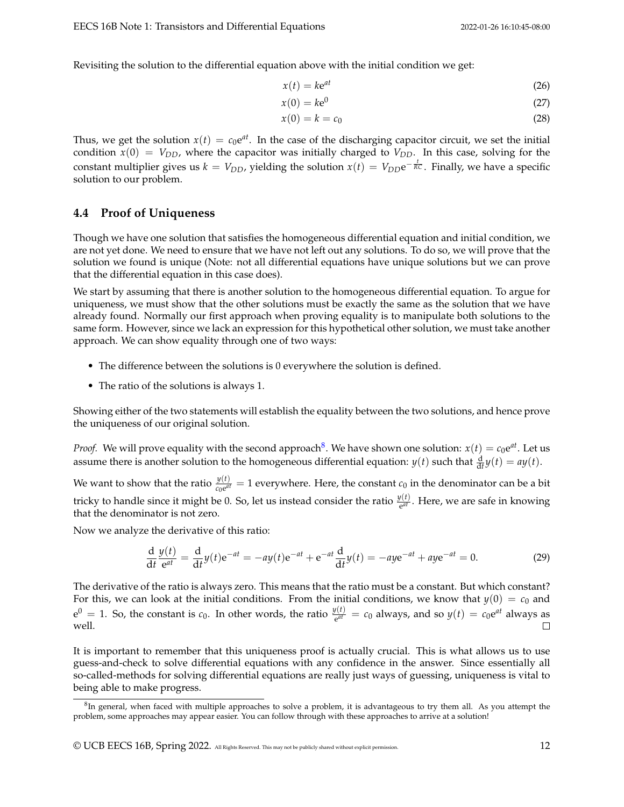Revisiting the solution to the differential equation above with the initial condition we get:

$$
x(t) = k e^{at} \tag{26}
$$

$$
x(0) = k e^0 \tag{27}
$$

$$
x(0) = k = c_0 \tag{28}
$$

Thus, we get the solution  $x(t) = c_0 e^{at}$ . In the case of the discharging capacitor circuit, we set the initial condition  $\dot{x}(0) = V_{DD}$ , where the capacitor was initially charged to  $V_{DD}$ . In this case, solving for the constant multiplier gives us  $k = V_{DD}$ , yielding the solution  $x(t) = V_{DD}e^{-\frac{t}{RC}}$ . Finally, we have a specific solution to our problem.

## **4.4 Proof of Uniqueness**

Though we have one solution that satisfies the homogeneous differential equation and initial condition, we are not yet done. We need to ensure that we have not left out any solutions. To do so, we will prove that the solution we found is unique (Note: not all differential equations have unique solutions but we can prove that the differential equation in this case does).

We start by assuming that there is another solution to the homogeneous differential equation. To argue for uniqueness, we must show that the other solutions must be exactly the same as the solution that we have already found. Normally our first approach when proving equality is to manipulate both solutions to the same form. However, since we lack an expression for this hypothetical other solution, we must take another approach. We can show equality through one of two ways:

- The difference between the solutions is 0 everywhere the solution is defined.
- The ratio of the solutions is always 1.

Showing either of the two statements will establish the equality between the two solutions, and hence prove the uniqueness of our original solution.

*Proof.* We will prove equality with the second approach $^8$  $^8$ . We have shown one solution:  $x(t) = c_0 e^{at}$ . Let us assume there is another solution to the homogeneous differential equation:  $y(t)$  such that  $\frac{d}{dt}y(t) = ay(t)$ .

We want to show that the ratio  $\frac{y(t)}{c_0e^{at}} = 1$  everywhere. Here, the constant  $c_0$  in the denominator can be a bit tricky to handle since it might be 0. So, let us instead consider the ratio  $\frac{y(t)}{e^{at}}$ . Here, we are safe in knowing that the denominator is not zero.

Now we analyze the derivative of this ratio:

$$
\frac{\mathrm{d}}{\mathrm{d}t}\frac{y(t)}{\mathrm{e}^{at}} = \frac{\mathrm{d}}{\mathrm{d}t}y(t)\mathrm{e}^{-at} = -ay(t)\mathrm{e}^{-at} + \mathrm{e}^{-at}\frac{\mathrm{d}}{\mathrm{d}t}y(t) = -ay\mathrm{e}^{-at} + ay\mathrm{e}^{-at} = 0.
$$
 (29)

The derivative of the ratio is always zero. This means that the ratio must be a constant. But which constant? For this, we can look at the initial conditions. From the initial conditions, we know that  $y(0) = c_0$  and  $e^0 = 1$ . So, the constant is  $c_0$ . In other words, the ratio  $\frac{y(t)}{e^{at}} = c_0$  always, and so  $y(t) = c_0 e^{at}$  always as well.  $\Box$ 

It is important to remember that this uniqueness proof is actually crucial. This is what allows us to use guess-and-check to solve differential equations with any confidence in the answer. Since essentially all so-called-methods for solving differential equations are really just ways of guessing, uniqueness is vital to being able to make progress.

<span id="page-11-0"></span><sup>&</sup>lt;sup>8</sup>In general, when faced with multiple approaches to solve a problem, it is advantageous to try them all. As you attempt the problem, some approaches may appear easier. You can follow through with these approaches to arrive at a solution!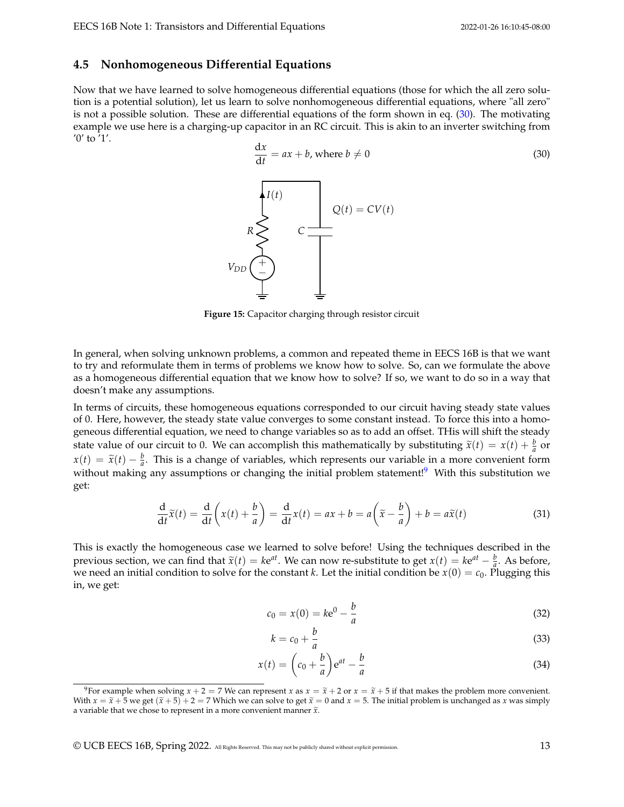### **4.5 Nonhomogeneous Differential Equations**

Now that we have learned to solve homogeneous differential equations (those for which the all zero solution is a potential solution), let us learn to solve nonhomogeneous differential equations, where "all zero" is not a possible solution. These are differential equations of the form shown in eq. [\(30\)](#page-12-0). The motivating example we use here is a charging-up capacitor in an RC circuit. This is akin to an inverter switching from '0' to '1'.

<span id="page-12-0"></span>

**Figure 15:** Capacitor charging through resistor circuit

In general, when solving unknown problems, a common and repeated theme in EECS 16B is that we want to try and reformulate them in terms of problems we know how to solve. So, can we formulate the above as a homogeneous differential equation that we know how to solve? If so, we want to do so in a way that doesn't make any assumptions.

In terms of circuits, these homogeneous equations corresponded to our circuit having steady state values of 0. Here, however, the steady state value converges to some constant instead. To force this into a homogeneous differential equation, we need to change variables so as to add an offset. THis will shift the steady state value of our circuit to 0. We can accomplish this mathematically by substituting  $\tilde{x}(t) = x(t) + \frac{b}{a}$  or  $x(t) = \tilde{x}(t) - \frac{b}{a}$ . This is a change of variables, which represents our variable in a more convenient form without making any assumptions or changing the initial problem statement!<sup>[9](#page-12-1)</sup> With this substitution we get:

$$
\frac{d}{dt}\widetilde{x}(t) = \frac{d}{dt}\left(x(t) + \frac{b}{a}\right) = \frac{d}{dt}x(t) = ax + b = a\left(\widetilde{x} - \frac{b}{a}\right) + b = a\widetilde{x}(t)
$$
\n(31)

This is exactly the homogeneous case we learned to solve before! Using the techniques described in the previous section, we can find that  $\tilde{x}(t) = ke^{at}$ . We can now re-substitute to get  $x(t) = ke^{at} - \frac{b}{a}$ . As before, we need an initial condition to solve for the constant *k*. Let the initial condition be  $x(0) = c_0$ . Pluggi we need an initial condition to solve for the constant *k*. Let the initial condition be  $x(0) = c_0$ . Plugging this in, we get:

$$
c_0 = x(0) = k e^0 - \frac{b}{a}
$$
 (32)

$$
k = c_0 + \frac{b}{a} \tag{33}
$$

$$
x(t) = \left(c_0 + \frac{b}{a}\right)e^{at} - \frac{b}{a}
$$
\n(34)

<span id="page-12-1"></span><sup>&</sup>lt;sup>9</sup>For example when solving  $x + 2 = 7$  We can represent x as  $x = \tilde{x} + 2$  or  $x = \tilde{x} + 5$  if that makes the problem more convenient. With  $x = \tilde{x} + 5$  we get  $(\tilde{x} + 5) + 2 = 7$  Which we can solve to get  $\tilde{x} = 0$  and  $x = 5$ . The initial problem is unchanged as *x* was simply a variable that we chose to represent in a more convenient manner  $\tilde{x}$ .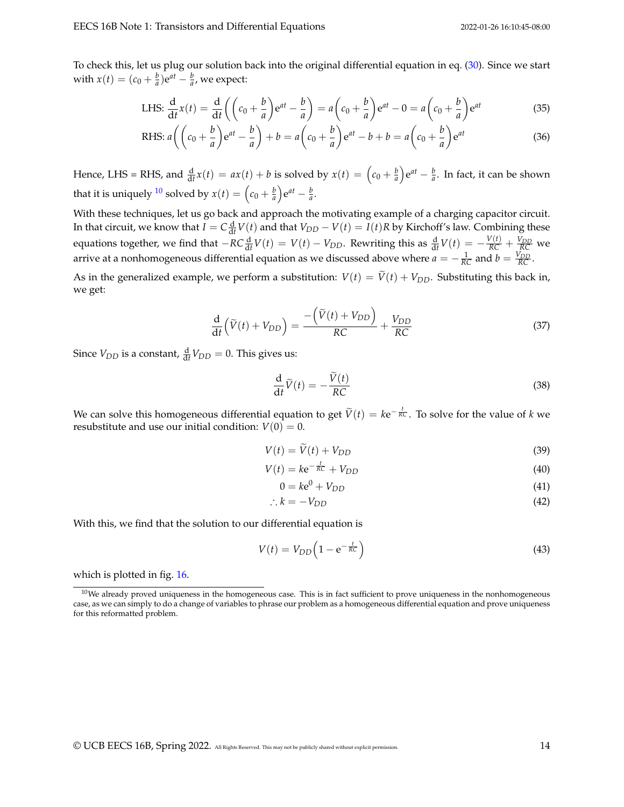To check this, let us plug our solution back into the original differential equation in eq. [\(30\)](#page-12-0). Since we start with  $x(t) = (c_0 + \frac{b}{a})e^{at} - \frac{b}{a}$ , we expect:

LHS: 
$$
\frac{d}{dt}x(t) = \frac{d}{dt}\left(\left(c_0 + \frac{b}{a}\right)e^{at} - \frac{b}{a}\right) = a\left(c_0 + \frac{b}{a}\right)e^{at} - 0 = a\left(c_0 + \frac{b}{a}\right)e^{at}
$$
(35)

RHS: 
$$
a\left(\left(c_0 + \frac{b}{a}\right)e^{at} - \frac{b}{a}\right) + b = a\left(c_0 + \frac{b}{a}\right)e^{at} - b + b = a\left(c_0 + \frac{b}{a}\right)e^{at}
$$
 (36)

Hence, LHS = RHS, and  $\frac{d}{dt}x(t) = ax(t) + b$  is solved by  $x(t) = \left(c_0 + \frac{b}{a}\right)e^{at} - \frac{b}{a}$ . In fact, it can be shown that it is uniquely <sup>[10](#page-13-0)</sup> solved by  $x(t) = \left(c_0 + \frac{b}{a}\right)e^{at} - \frac{b}{a}$ .

With these techniques, let us go back and approach the motivating example of a charging capacitor circuit. In that circuit, we know that  $I = C \frac{d}{dt} V(t)$  and that  $V_{DD} - V(t) = I(t)R$  by Kirchoff's law. Combining these equations together, we find that  $-RC\frac{d}{dt}V(t) = V(t) - V_{DD}$ . Rewriting this as  $\frac{d}{dt}V(t) = -\frac{V(t)}{RC} + \frac{V_{DD}}{RC}$  we arrive at a nonhomogeneous differential equation as we discussed above where  $a = -\frac{1}{RC}$  and  $b = \frac{V_{DD}}{RC}$ .

As in the generalized example, we perform a substitution:  $V(t) = \tilde{V}(t) + V_{DD}$ . Substituting this back in, we get:

$$
\frac{\mathrm{d}}{\mathrm{d}t}\left(\widetilde{V}(t)+V_{DD}\right) = \frac{-\left(\widetilde{V}(t)+V_{DD}\right)}{RC} + \frac{V_{DD}}{RC}
$$
\n(37)

Since  $V_{DD}$  is a constant,  $\frac{d}{dt}V_{DD} = 0$ . This gives us:

$$
\frac{\mathrm{d}}{\mathrm{d}t}\widetilde{V}(t) = -\frac{\widetilde{V}(t)}{RC}
$$
\n(38)

We can solve this homogeneous differential equation to get  $\tilde{V}(t) = k e^{-\frac{t}{RC}}$ . To solve for the value of *k* we resubstitute and use our initial condition:  $V(0) = 0$ .

$$
V(t) = \widetilde{V}(t) + V_{DD} \tag{39}
$$

$$
V(t) = k e^{-\frac{t}{RC}} + V_{DD}
$$
\n
$$
(40)
$$

$$
0 = k\mathbf{e}^0 + V_{DD} \tag{41}
$$

$$
\therefore k = -V_{DD} \tag{42}
$$

With this, we find that the solution to our differential equation is

$$
V(t) = V_{DD} \left( 1 - e^{-\frac{t}{RC}} \right) \tag{43}
$$

which is plotted in fig. [16.](#page-14-0)

<span id="page-13-0"></span> $10$ We already proved uniqueness in the homogeneous case. This is in fact sufficient to prove uniqueness in the nonhomogeneous case, as we can simply to do a change of variables to phrase our problem as a homogeneous differential equation and prove uniqueness for this reformatted problem.